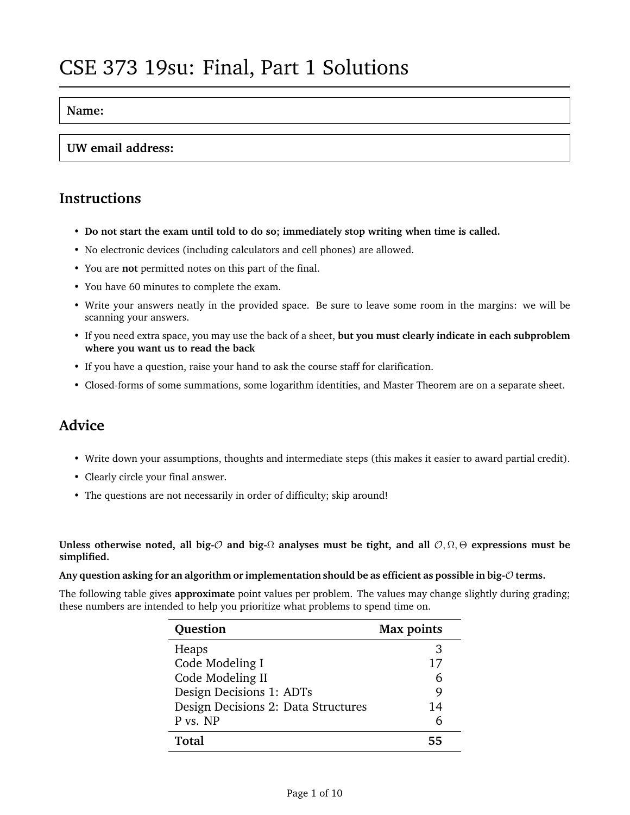#### **Name:**

#### **UW email address:**

#### **Instructions**

- **Do not start the exam until told to do so; immediately stop writing when time is called.**
- No electronic devices (including calculators and cell phones) are allowed.
- You are **not** permitted notes on this part of the final.
- You have 60 minutes to complete the exam.
- Write your answers neatly in the provided space. Be sure to leave some room in the margins: we will be scanning your answers.
- If you need extra space, you may use the back of a sheet, **but you must clearly indicate in each subproblem where you want us to read the back**
- If you have a question, raise your hand to ask the course staff for clarification.
- Closed-forms of some summations, some logarithm identities, and Master Theorem are on a separate sheet.

## **Advice**

- Write down your assumptions, thoughts and intermediate steps (this makes it easier to award partial credit).
- Clearly circle your final answer.
- The questions are not necessarily in order of difficulty; skip around!

**Unless otherwise noted, all big-**O **and big-**Ω **analyses must be tight, and all** O, Ω, Θ **expressions must be simplified.**

**Any question asking for an algorithm or implementation should be as efficient as possible in big-**O **terms.**

The following table gives **approximate** point values per problem. The values may change slightly during grading; these numbers are intended to help you prioritize what problems to spend time on.

| Question                            | <b>Max points</b> |
|-------------------------------------|-------------------|
| Heaps                               | 3                 |
| Code Modeling I                     | 17                |
| Code Modeling II                    | 6                 |
| Design Decisions 1: ADTs            | 9                 |
| Design Decisions 2: Data Structures | 14                |
| P vs. NP                            |                   |
| Total                               | 55                |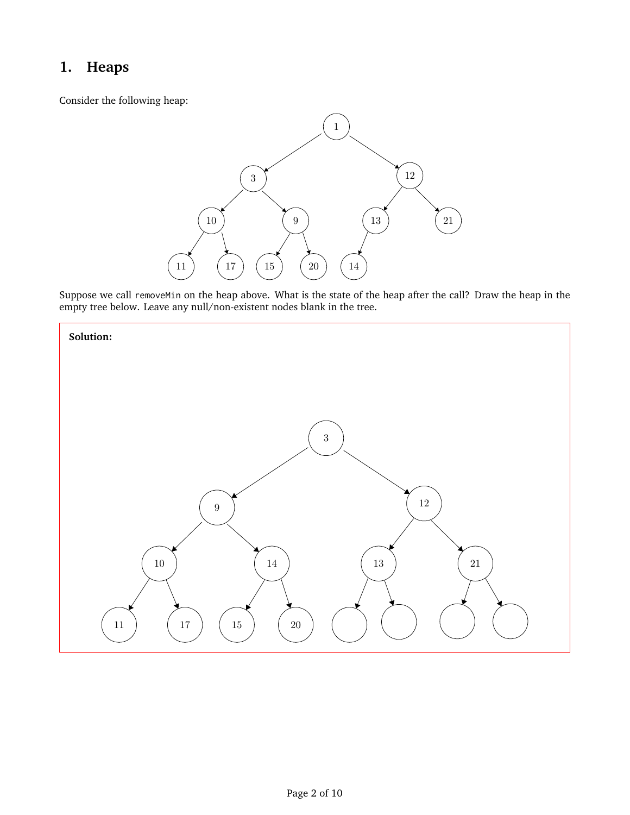## **1. Heaps**

Consider the following heap:



Suppose we call removeMin on the heap above. What is the state of the heap after the call? Draw the heap in the empty tree below. Leave any null/non-existent nodes blank in the tree.

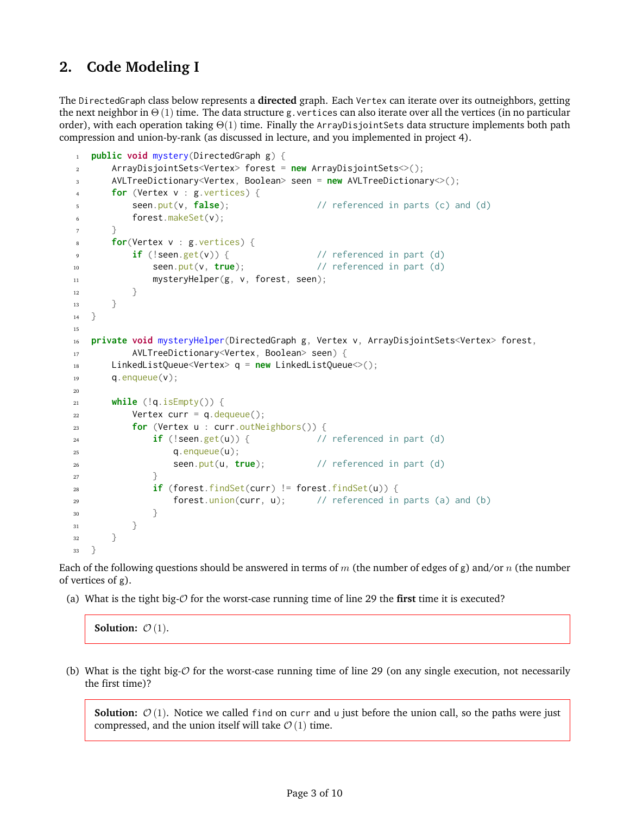## <span id="page-2-0"></span>**2. Code Modeling I**

The DirectedGraph class below represents a **directed** graph. Each Vertex can iterate over its outneighbors, getting the next neighbor in  $\Theta(1)$  time. The data structure g. vertices can also iterate over all the vertices (in no particular order), with each operation taking  $\Theta(1)$  time. Finally the ArrayDisjointSets data structure implements both path compression and union-by-rank (as discussed in lecture, and you implemented in project 4).

```
1 public void mystery(DirectedGraph g) {
2 ArrayDisjointSets<Vertex> forest = new ArrayDisjointSets<>();
3 AVLTreeDictionary<Vertex, Boolean> seen = new AVLTreeDictionary<>();
4 for (Vertex v : g.vertices) {
5 seen.put(v, false); // referenced in parts (c) and (d)
6 forest.makeSet(v);
7 }
8 for(Vertex v : g.vertices) {
9 if (!seen.get(v)) { // referenced in part (d)
10 seen.put(v, true); // referenced in part (d)
11 mysteryHelper(g, v, forest, seen);
12 }
13 }
14 }
15
16 private void mysteryHelper(DirectedGraph g, Vertex v, ArrayDisjointSets<Vertex> forest,
17 AVLTreeDictionary<Vertex, Boolean> seen) {
18 LinkedListQueue<Vertex> q = new LinkedListQueue<>();
19 \qquad \qquad \mathsf{q}. enqueue(\mathsf{v});
20
21 while (!q.isEmpty()) {
22 Vertex curr = q.dequeue();
23 for (Vertex u : curr.outNeighbors()) {
24 if (!seen.get(u)) { // referenced in part (d)
25 q.enqueue(u);
26 seen.put(u, true); // referenced in part (d)
27 }
28 if (forest.findSet(curr) != forest.findSet(u)) {
29 forest.union(curr, u); // referenced in parts (a) and (b)
30 }
\left\{\right. \right. 31 \left.\right\}32 }
33 }
```
Each of the following questions should be answered in terms of m (the number of edges of g) and/or n (the number of vertices of g).

(a) What is the tight big-O for the worst-case running time of line [29](#page-2-0) the **first** time it is executed?

**Solution:**  $\mathcal{O}(1)$ .

(b) What is the tight big- $\mathcal O$  for the worst-case running time of line [29](#page-2-0) (on any single execution, not necessarily the first time)?

**Solution:**  $\mathcal{O}(1)$ . Notice we called find on curr and u just before the union call, so the paths were just compressed, and the union itself will take  $\mathcal{O}(1)$  time.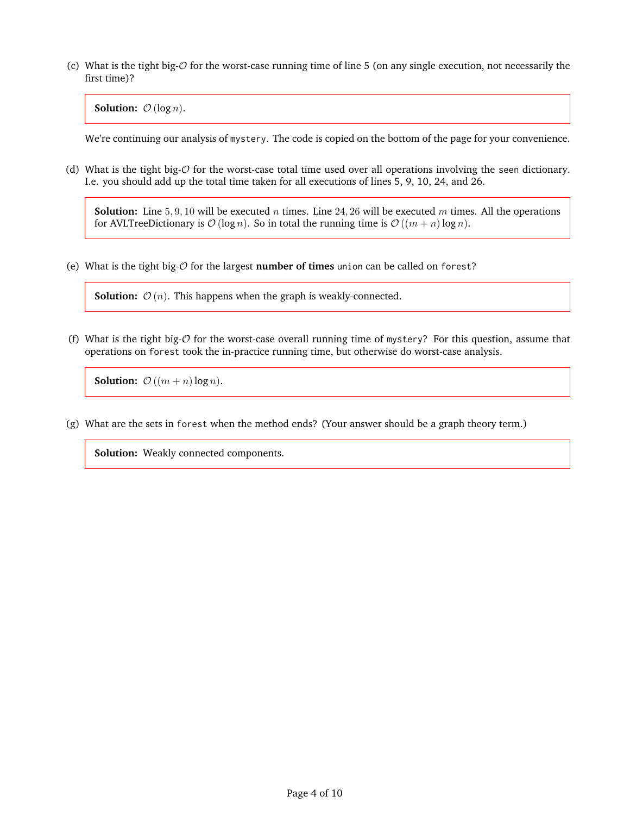(c) What is the tight big-O for the worst-case running time of line [5](#page-2-0) (on any single execution, not necessarily the first time)?

**Solution:**  $O(log n)$ .

We're continuing our analysis of mystery. The code is copied on the bottom of the page for your convenience.

(d) What is the tight big- $O$  for the worst-case total time used over all operations involving the seen dictionary. I.e. you should add up the total time taken for all executions of lines [5,](#page-2-0) [9,](#page-2-0) [10,](#page-2-0) [24,](#page-2-0) and [26.](#page-2-0)

**Solution:** Line 5, 9, 10 will be executed *n* times. Line 24, 26 will be executed *m* times. All the operations for AVLTreeDictionary is  $\mathcal{O}(\log n)$ . So in total the running time is  $\mathcal{O}((m+n)\log n)$ .

(e) What is the tight big-O for the largest **number of times** union can be called on forest?

**Solution:**  $\mathcal{O}(n)$ . This happens when the graph is weakly-connected.

(f) What is the tight big- $O$  for the worst-case overall running time of mystery? For this question, assume that operations on forest took the in-practice running time, but otherwise do worst-case analysis.

**Solution:**  $\mathcal{O}((m+n)\log n)$ .

(g) What are the sets in forest when the method ends? (Your answer should be a graph theory term.)

**Solution:** Weakly connected components.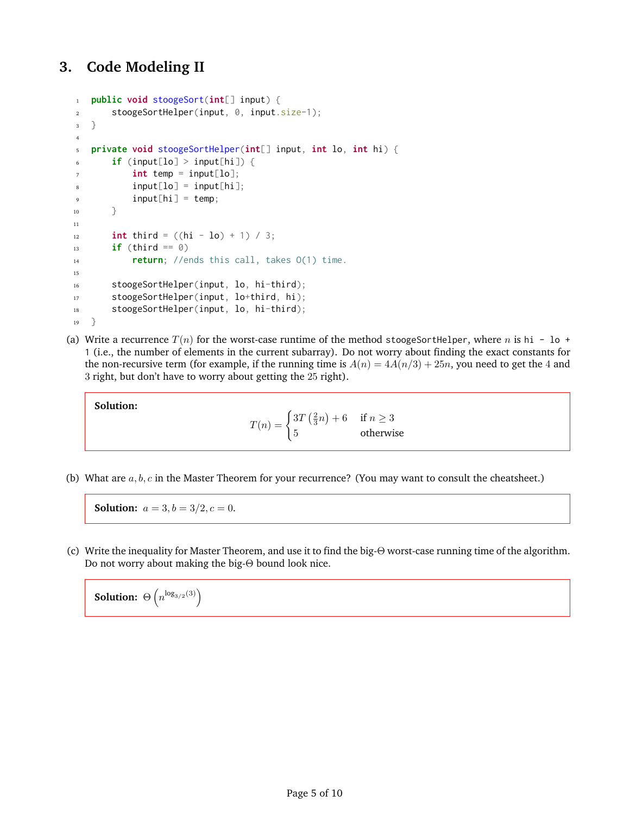## **3. Code Modeling II**

```
1 public void stoogeSort(int[] input) {
2 stoogeSortHelper(input, 0, input.size-1);
3 }
4
5 private void stoogeSortHelper(int[] input, int lo, int hi) {
6 if (input[lo] > input[hi]) {
7 \quad \text{int temp} = input[lo];\text{input}[lo] = \text{input}[hi];9 input[hi] = temp;
10 }
11
12 int third = ((hi - lo) + 1) / 3;13 if (third == 0)
14 return; //ends this call, takes O(1) time.
15
16 stoogeSortHelper(input, lo, hi-third);
17 stoogeSortHelper(input, lo+third, hi);
18 stoogeSortHelper(input, lo, hi-third);
19 }
```
(a) Write a recurrence  $T(n)$  for the worst-case runtime of the method stoogeSortHelper, where n is hi - lo + 1 (i.e., the number of elements in the current subarray). Do not worry about finding the exact constants for the non-recursive term (for example, if the running time is  $A(n) = 4A(n/3) + 25n$ , you need to get the 4 and 3 right, but don't have to worry about getting the 25 right).

**Solution:**

 $T(n) = \begin{cases} 3T(\frac{2}{3}n) + 6 & \text{if } n \geq 3 \end{cases}$ 5 otherwise

(b) What are  $a, b, c$  in the Master Theorem for your recurrence? (You may want to consult the cheatsheet.)

**Solution:**  $a = 3, b = 3/2, c = 0$ .

(c) Write the inequality for Master Theorem, and use it to find the big-Θ worst-case running time of the algorithm. Do not worry about making the big-Θ bound look nice.

**Solution:**  $\Theta\left(n^{\log_{3/2}(3)}\right)$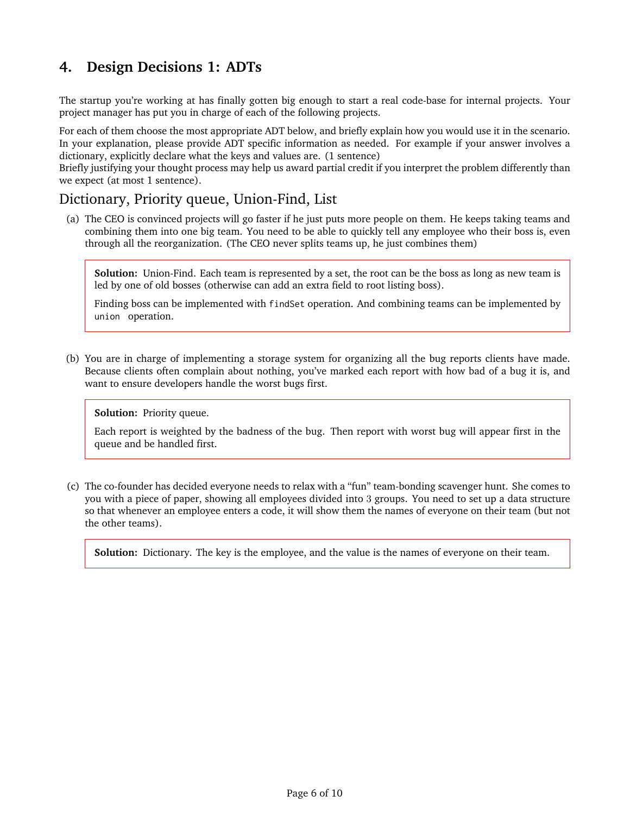## **4. Design Decisions 1: ADTs**

The startup you're working at has finally gotten big enough to start a real code-base for internal projects. Your project manager has put you in charge of each of the following projects.

For each of them choose the most appropriate ADT below, and briefly explain how you would use it in the scenario. In your explanation, please provide ADT specific information as needed. For example if your answer involves a dictionary, explicitly declare what the keys and values are. (1 sentence)

Briefly justifying your thought process may help us award partial credit if you interpret the problem differently than we expect (at most 1 sentence).

#### Dictionary, Priority queue, Union-Find, List

(a) The CEO is convinced projects will go faster if he just puts more people on them. He keeps taking teams and combining them into one big team. You need to be able to quickly tell any employee who their boss is, even through all the reorganization. (The CEO never splits teams up, he just combines them)

**Solution:** Union-Find. Each team is represented by a set, the root can be the boss as long as new team is led by one of old bosses (otherwise can add an extra field to root listing boss).

Finding boss can be implemented with findSet operation. And combining teams can be implemented by union operation.

(b) You are in charge of implementing a storage system for organizing all the bug reports clients have made. Because clients often complain about nothing, you've marked each report with how bad of a bug it is, and want to ensure developers handle the worst bugs first.

**Solution:** Priority queue.

Each report is weighted by the badness of the bug. Then report with worst bug will appear first in the queue and be handled first.

(c) The co-founder has decided everyone needs to relax with a "fun" team-bonding scavenger hunt. She comes to you with a piece of paper, showing all employees divided into 3 groups. You need to set up a data structure so that whenever an employee enters a code, it will show them the names of everyone on their team (but not the other teams).

**Solution:** Dictionary. The key is the employee, and the value is the names of everyone on their team.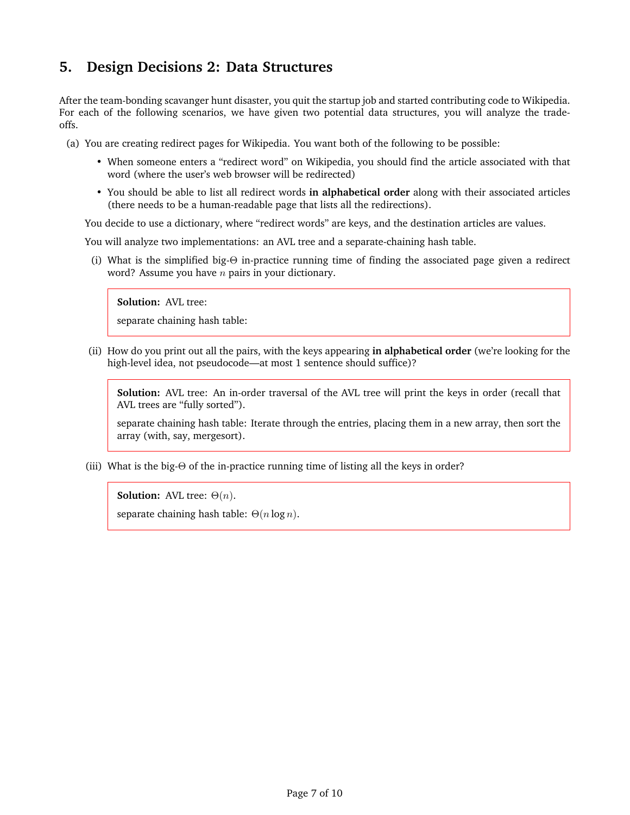### **5. Design Decisions 2: Data Structures**

After the team-bonding scavanger hunt disaster, you quit the startup job and started contributing code to Wikipedia. For each of the following scenarios, we have given two potential data structures, you will analyze the tradeoffs.

(a) You are creating redirect pages for Wikipedia. You want both of the following to be possible:

- When someone enters a "redirect word" on Wikipedia, you should find the article associated with that word (where the user's web browser will be redirected)
- You should be able to list all redirect words **in alphabetical order** along with their associated articles (there needs to be a human-readable page that lists all the redirections).

You decide to use a dictionary, where "redirect words" are keys, and the destination articles are values.

You will analyze two implementations: an AVL tree and a separate-chaining hash table.

(i) What is the simplified big-Θ in-practice running time of finding the associated page given a redirect word? Assume you have  $n$  pairs in your dictionary.

**Solution:** AVL tree:

separate chaining hash table:

(ii) How do you print out all the pairs, with the keys appearing **in alphabetical order** (we're looking for the high-level idea, not pseudocode—at most 1 sentence should suffice)?

**Solution:** AVL tree: An in-order traversal of the AVL tree will print the keys in order (recall that AVL trees are "fully sorted").

separate chaining hash table: Iterate through the entries, placing them in a new array, then sort the array (with, say, mergesort).

(iii) What is the big- $\Theta$  of the in-practice running time of listing all the keys in order?

**Solution:** AVL tree:  $\Theta(n)$ .

separate chaining hash table:  $\Theta(n \log n)$ .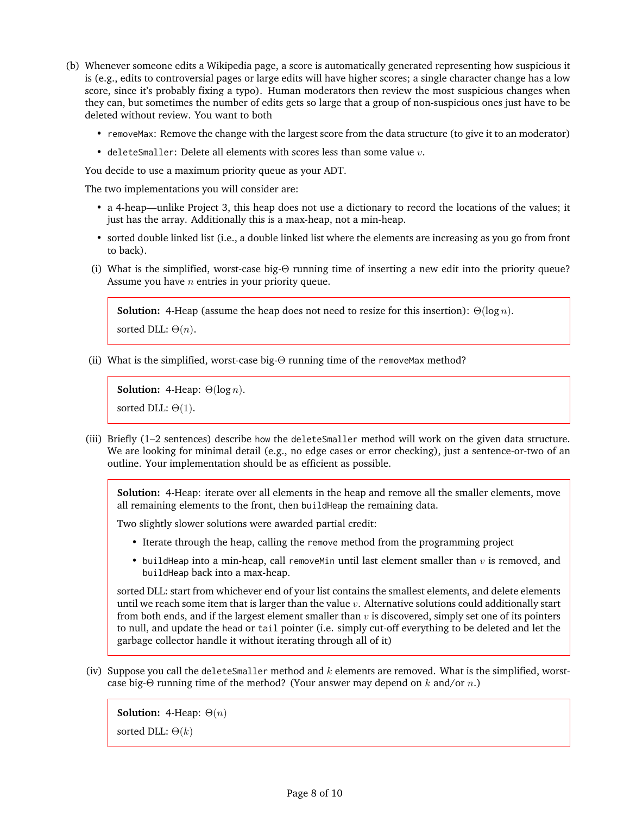- (b) Whenever someone edits a Wikipedia page, a score is automatically generated representing how suspicious it is (e.g., edits to controversial pages or large edits will have higher scores; a single character change has a low score, since it's probably fixing a typo). Human moderators then review the most suspicious changes when they can, but sometimes the number of edits gets so large that a group of non-suspicious ones just have to be deleted without review. You want to both
	- removeMax: Remove the change with the largest score from the data structure (to give it to an moderator)
	- deleteSmaller: Delete all elements with scores less than some value  $v$ .

You decide to use a maximum priority queue as your ADT.

The two implementations you will consider are:

- a 4-heap—unlike Project 3, this heap does not use a dictionary to record the locations of the values; it just has the array. Additionally this is a max-heap, not a min-heap.
- sorted double linked list (i.e., a double linked list where the elements are increasing as you go from front to back).
- (i) What is the simplified, worst-case big-Θ running time of inserting a new edit into the priority queue? Assume you have  $n$  entries in your priority queue.

**Solution:** 4-Heap (assume the heap does not need to resize for this insertion):  $\Theta(\log n)$ .

```
sorted DLL: \Theta(n).
```
(ii) What is the simplified, worst-case big-Θ running time of the removeMax method?

```
Solution: 4-Heap: \Theta(\log n).
sorted DLL: \Theta(1).
```
(iii) Briefly (1–2 sentences) describe how the deleteSmaller method will work on the given data structure. We are looking for minimal detail (e.g., no edge cases or error checking), just a sentence-or-two of an outline. Your implementation should be as efficient as possible.

**Solution:** 4-Heap: iterate over all elements in the heap and remove all the smaller elements, move all remaining elements to the front, then buildHeap the remaining data.

Two slightly slower solutions were awarded partial credit:

- Iterate through the heap, calling the remove method from the programming project
- buildHeap into a min-heap, call removeMin until last element smaller than  $v$  is removed, and buildHeap back into a max-heap.

sorted DLL: start from whichever end of your list contains the smallest elements, and delete elements until we reach some item that is larger than the value  $v$ . Alternative solutions could additionally start from both ends, and if the largest element smaller than  $v$  is discovered, simply set one of its pointers to null, and update the head or tail pointer (i.e. simply cut-off everything to be deleted and let the garbage collector handle it without iterating through all of it)

(iv) Suppose you call the deleteSmaller method and  $k$  elements are removed. What is the simplified, worstcase big-Θ running time of the method? (Your answer may depend on  $k$  and/or  $n$ .)

```
Solution: 4-Heap: Θ(n)
sorted DLL: \Theta(k)
```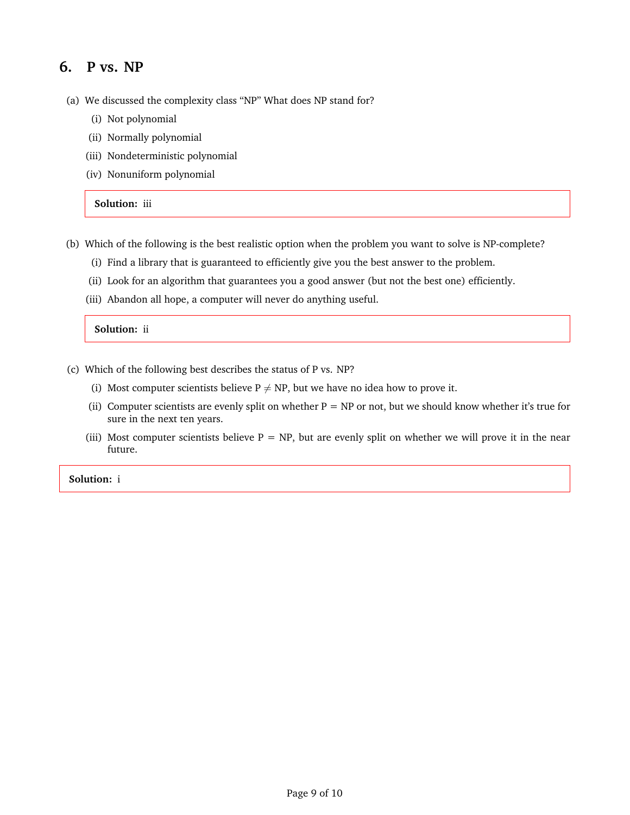#### **6. P vs. NP**

- (a) We discussed the complexity class "NP" What does NP stand for?
	- (i) Not polynomial
	- (ii) Normally polynomial
	- (iii) Nondeterministic polynomial
	- (iv) Nonuniform polynomial

**Solution:** iii

- (b) Which of the following is the best realistic option when the problem you want to solve is NP-complete?
	- (i) Find a library that is guaranteed to efficiently give you the best answer to the problem.
	- (ii) Look for an algorithm that guarantees you a good answer (but not the best one) efficiently.
	- (iii) Abandon all hope, a computer will never do anything useful.

**Solution:** ii

- (c) Which of the following best describes the status of P vs. NP?
	- (i) Most computer scientists believe  $P \neq NP$ , but we have no idea how to prove it.
	- (ii) Computer scientists are evenly split on whether  $P = NP$  or not, but we should know whether it's true for sure in the next ten years.
	- (iii) Most computer scientists believe  $P = NP$ , but are evenly split on whether we will prove it in the near future.

**Solution:** i